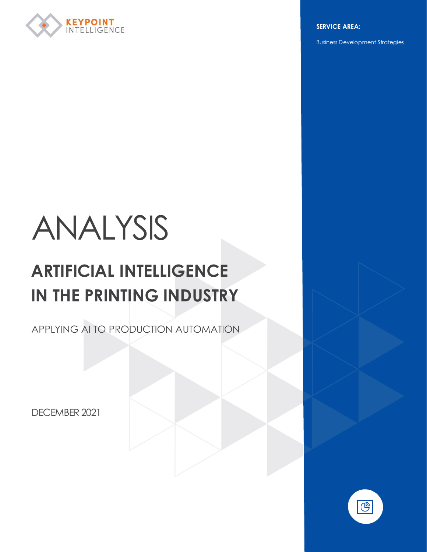

**SERVICE AREA:**

Business Development Strategies

# ANALYSIS

# **ARTIFICIAL INTELLIGENCE IN THE PRINTING INDUSTRY**

APPLYING AI TO PRODUCTION AUTOMATION

DECEMBER 2021

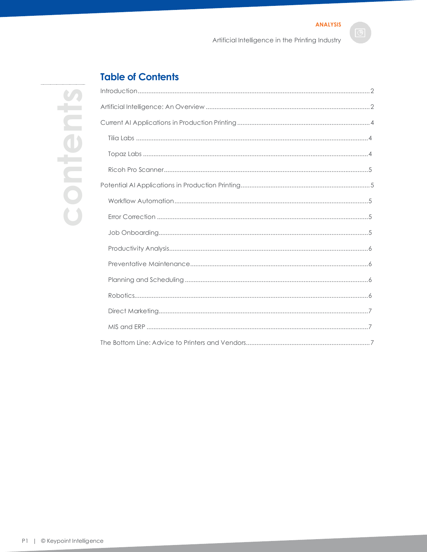Artificial Intelligence in the Printing Industry

# **Table of Contents**

| Introduction            |
|-------------------------|
| Artificial Intelligend  |
| Current Al Applice      |
| Tilia Labs              |
| Topaz Labs              |
| Ricoh Pro Scanı         |
| Potential Al Applic     |
| Workflow Autor          |
| <b>Error Correction</b> |
| Job Onboardin           |
| Productivity An         |
| Preventative M          |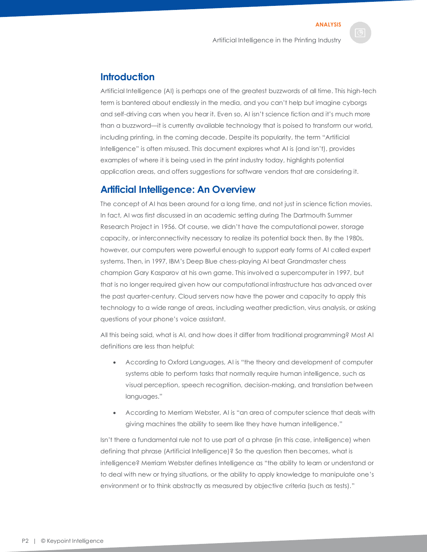# <span id="page-2-0"></span>**Introduction**

Artificial Intelligence (AI) is perhaps one of the greatest buzzwords of all time. This high-tech term is bantered about endlessly in the media, and you can't help but imagine cyborgs and self-driving cars when you hear it. Even so, AI isn't science fiction and it's much more than a buzzword—it is currently available technology that is poised to transform our world, including printing, in the coming decade. Despite its popularity, the term "Artificial Intelligence" is often misused. This document explores what AI is (and isn't), provides examples of where it is being used in the print industry today, highlights potential application areas, and offers suggestions for software vendors that are considering it.

### <span id="page-2-1"></span>**Artificial Intelligence: An Overview**

The concept of AI has been around for a long time, and not just in science fiction movies. In fact, AI was first discussed in an academic setting during The Dartmouth Summer Research Project in 1956. Of course, we didn't have the computational power, storage capacity, or interconnectivity necessary to realize its potential back then. By the 1980s, however, our computers were powerful enough to support early forms of AI called expert systems. Then, in 1997, IBM's Deep Blue chess-playing AI beat Grandmaster chess champion Gary Kasparov at his own game. This involved a supercomputer in 1997, but that is no longer required given how our computational infrastructure has advanced over the past quarter-century. Cloud servers now have the power and capacity to apply this technology to a wide range of areas, including weather prediction, virus analysis, or asking questions of your phone's voice assistant.

All this being said, what is AI, and how does it differ from traditional programming? Most AI definitions are less than helpful:

- According to Oxford Languages, AI is "the theory and development of computer systems able to perform tasks that normally require human intelligence, such as visual perception, speech recognition, decision-making, and translation between languages."
- According to Merriam Webster, AI is "an area of computer science that deals with giving machines the ability to seem like they have human intelligence."

Isn't there a fundamental rule not to use part of a phrase (in this case, intelligence) when defining that phrase (Artificial Intelligence)? So the question then becomes, what is intelligence? Merriam Webster defines Intelligence as "the ability to learn or understand or to deal with new or trying situations, or the ability to apply knowledge to manipulate one's environment or to think abstractly as measured by objective criteria (such as tests)."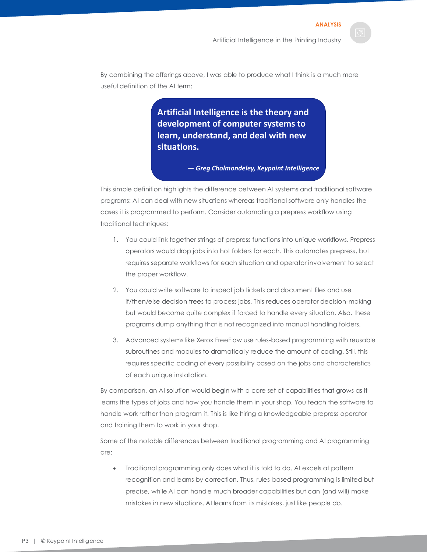By combining the offerings above, I was able to produce what I think is a much more useful definition of the AI term:

> **Artificial Intelligence is the theory and development of computer systems to learn, understand, and deal with new situations.**

> > *— Greg Cholmondeley, Keypoint Intelligence*

This simple definition highlights the difference between AI systems and traditional software programs: AI can deal with new situations whereas traditional software only handles the cases it is programmed to perform. Consider automating a prepress workflow using traditional techniques:

- 1. You could link together strings of prepress functions into unique workflows. Prepress operators would drop jobs into hot folders for each. This automates prepress, but requires separate workflows for each situation and operator involvement to select the proper workflow.
- 2. You could write software to inspect job tickets and document files and use if/then/else decision trees to process jobs. This reduces operator decision-making but would become quite complex if forced to handle every situation. Also, these programs dump anything that is not recognized into manual handling folders.
- 3. Advanced systems like Xerox FreeFlow use rules-based programming with reusable subroutines and modules to dramatically reduce the amount of coding. Still, this requires specific coding of every possibility based on the jobs and characteristics of each unique installation.

By comparison, an AI solution would begin with a core set of capabilities that grows as it learns the types of jobs and how you handle them in your shop. You teach the software to handle work rather than program it. This is like hiring a knowledgeable prepress operator and training them to work in your shop.

Some of the notable differences between traditional programming and AI programming are:

• Traditional programming only does what it is told to do. AI excels at pattern recognition and learns by correction. Thus, rules-based programming is limited but precise, while AI can handle much broader capabilities but can (and will) make mistakes in new situations. AI learns from its mistakes, just like people do.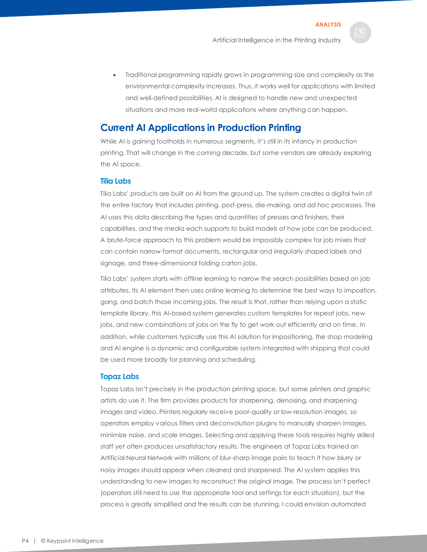**ANALYSIS**

• Traditional programming rapidly grows in programming size and complexity as the environmental complexity increases. Thus, it works well for applications with limited and well-defined possibilities. AI is designed to handle new and unexpected situations and more real-world applications where anything can happen.

# <span id="page-4-0"></span>**Current AI Applications in Production Printing**

While AI is gaining footholds in numerous segments, it's still in its infancy in production printing. That will change in the coming decade, but some vendors are already exploring the AI space.

#### <span id="page-4-1"></span>**Tilia Labs**

Tilia Labs' products are built on AI from the ground up. The system creates a digital twin of the entire factory that includes printing, post-press, die-making, and ad hoc processes. The AI uses this data describing the types and quantities of presses and finishers, their capabilities, and the media each supports to build models of how jobs can be produced. A brute-force approach to this problem would be impossibly complex for job mixes that can contain narrow format documents, rectangular and irregularly shaped labels and signage, and three-dimensional folding carton jobs.

Tilia Labs' system starts with offline learning to narrow the search possibilities based on job attributes. Its AI element then uses online learning to determine the best ways to imposition, gang, and batch those incoming jobs. The result is that, rather than relying upon a static template library, this AI-based system generates custom templates for repeat jobs, new jobs, and new combinations of jobs on the fly to get work out efficiently and on time. In addition, while customers typically use this AI solution for impositioning, the shop modeling and AI engine is a dynamic and configurable system integrated with shipping that could be used more broadly for planning and scheduling.

#### <span id="page-4-2"></span>**Topaz Labs**

Topaz Labs isn't precisely in the production printing space, but some printers and graphic artists do use it. The firm provides products for sharpening, denoising, and sharpening images and video. Printers regularly receive poor-quality or low-resolution images, so operators employ various filters and deconvolution plugins to manually sharpen images, minimize noise, and scale images. Selecting and applying these tools requires highly skilled staff yet often produces unsatisfactory results. The engineers at Topaz Labs trained an Artificial Neural Network with millions of blur-sharp image pairs to teach it how blurry or noisy images should appear when cleaned and sharpened. The AI system applies this understanding to new images to reconstruct the original image. The process isn't perfect (operators still need to use the appropriate tool and settings for each situation), but the process is greatly simplified and the results can be stunning. I could envision automated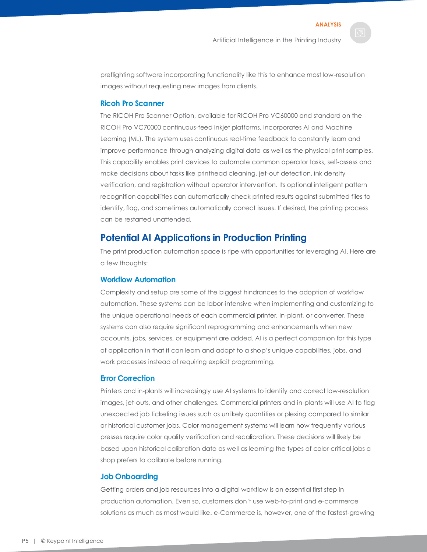preflighting software incorporating functionality like this to enhance most low-resolution images without requesting new images from clients.

#### <span id="page-5-0"></span>**Ricoh Pro Scanner**

The RICOH Pro Scanner Option, available for RICOH Pro VC60000 and standard on the RICOH Pro VC70000 continuous-feed inkjet platforms, incorporates AI and Machine Learning (ML). The system uses continuous real-time feedback to constantly learn and improve performance through analyzing digital data as well as the physical print samples. This capability enables print devices to automate common operator tasks, self-assess and make decisions about tasks like printhead cleaning, jet-out detection, ink density verification, and registration without operator intervention. Its optional intelligent pattern recognition capabilities can automatically check printed results against submitted files to identify, flag, and sometimes automatically correct issues. If desired, the printing process can be restarted unattended.

# <span id="page-5-1"></span>**Potential AI Applications in Production Printing**

The print production automation space is ripe with opportunities for leveraging AI. Here are a few thoughts:

#### <span id="page-5-2"></span>**Workflow Automation**

Complexity and setup are some of the biggest hindrances to the adoption of workflow automation. These systems can be labor-intensive when implementing and customizing to the unique operational needs of each commercial printer, in-plant, or converter. These systems can also require significant reprogramming and enhancements when new accounts, jobs, services, or equipment are added. AI is a perfect companion for this type of application in that it can learn and adapt to a shop's unique capabilities, jobs, and work processes instead of requiring explicit programming.

#### <span id="page-5-3"></span>**Error Correction**

Printers and in-plants will increasingly use AI systems to identify and correct low-resolution images, jet-outs, and other challenges. Commercial printers and in-plants will use AI to flag unexpected job ticketing issues such as unlikely quantities or plexing compared to similar or historical customer jobs. Color management systems will learn how frequently various presses require color quality verification and recalibration. These decisions will likely be based upon historical calibration data as well as learning the types of color-critical jobs a shop prefers to calibrate before running.

#### <span id="page-5-4"></span>**Job Onboarding**

Getting orders and job resources into a digital workflow is an essential first step in production automation. Even so, customers don't use web-to-print and e-commerce solutions as much as most would like. e-Commerce is, however, one of the fastest-growing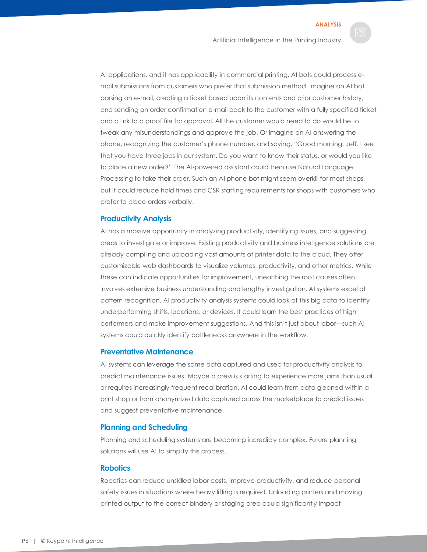Artificial Intelligence in the Printing Industry

AI applications, and it has applicability in commercial printing. AI bots could process email submissions from customers who prefer that submission method. Imagine an AI bot parsing an e-mail, creating a ticket based upon its contents and prior customer history, and sending an order confirmation e-mail back to the customer with a fully specified ticket and a link to a proof file for approval. All the customer would need to do would be to tweak any misunderstandings and approve the job. Or imagine an AI answering the phone, recognizing the customer's phone number, and saying, "Good morning, Jeff. I see that you have three jobs in our system. Do you want to know their status, or would you like to place a new order?" The AI-powered assistant could then use Natural Language Processing to take their order. Such an AI phone bot might seem overkill for most shops, but it could reduce hold times and CSR staffing requirements for shops with customers who prefer to place orders verbally.

#### <span id="page-6-0"></span>**Productivity Analysis**

AI has a massive opportunity in analyzing productivity, identifying issues, and suggesting areas to investigate or improve. Existing productivity and business intelligence solutions are already compiling and uploading vast amounts of printer data to the cloud. They offer customizable web dashboards to visualize volumes, productivity, and other metrics. While these can indicate opportunities for improvement, unearthing the root causes often involves extensive business understanding and lengthy investigation. AI systems excel at pattern recognition. AI productivity analysis systems could look at this big data to identify underperforming shifts, locations, or devices. It could learn the best practices of high performers and make improvement suggestions. And this isn't just about labor—such AI systems could quickly identify bottlenecks anywhere in the workflow.

#### <span id="page-6-1"></span>**Preventative Maintenance**

AI systems can leverage the same data captured and used for productivity analysis to predict maintenance issues. Maybe a press is starting to experience more jams than usual or requires increasingly frequent recalibration. AI could learn from data gleaned within a print shop or from anonymized data captured across the marketplace to predict issues and suggest preventative maintenance.

#### <span id="page-6-2"></span>**Planning and Scheduling**

Planning and scheduling systems are becoming incredibly complex. Future planning solutions will use AI to simplify this process.

#### <span id="page-6-3"></span>**Robotics**

Robotics can reduce unskilled labor costs, improve productivity, and reduce personal safety issues in situations where heavy lifting is required. Unloading printers and moving printed output to the correct bindery or staging area could significantly impact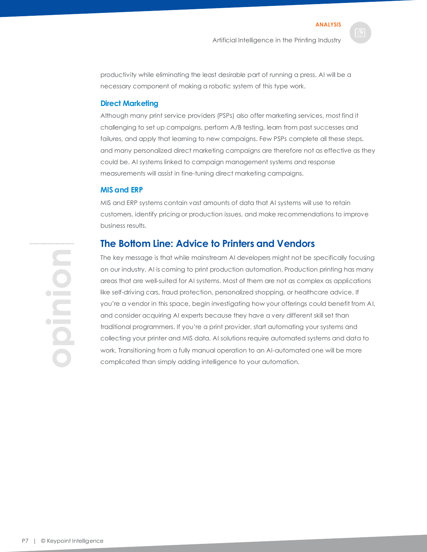productivity while eliminating the least desirable part of running a press. AI will be a necessary component of making a robotic system of this type work.

#### <span id="page-7-0"></span>**Direct Marketing**

Although many print service providers (PSPs) also offer marketing services, most find it challenging to set up campaigns, perform A/B testing, learn from past successes and failures, and apply that learning to new campaigns. Few PSPs complete all these steps, and many personalized direct marketing campaigns are therefore not as effective as they could be. AI systems linked to campaign management systems and response measurements will assist in fine-tuning direct marketing campaigns.

#### <span id="page-7-1"></span>**MIS and ERP**

MIS and ERP systems contain vast amounts of data that AI systems will use to retain customers, identify pricing or production issues, and make recommendations to improve business results.

## <span id="page-7-2"></span>**The Bottom Line: Advice to Printers and Vendors**

The key message is that while mainstream AI developers might not be specifically focusing on our industry, AI is coming to print production automation. Production printing has many areas that are well-suited for AI systems. Most of them are not as complex as applications like self-driving cars, fraud protection, personalized shopping, or healthcare advice. If you're a vendor in this space, begin investigating how your offerings could benefit from AI, and consider acquiring AI experts because they have a very different skill set than traditional programmers. If you're a print provider, start automating your systems and collecting your printer and MIS data. AI solutions require automated systems and data to work. Transitioning from a fully manual operation to an AI-automated one will be more complicated than simply adding intelligence to your automation.